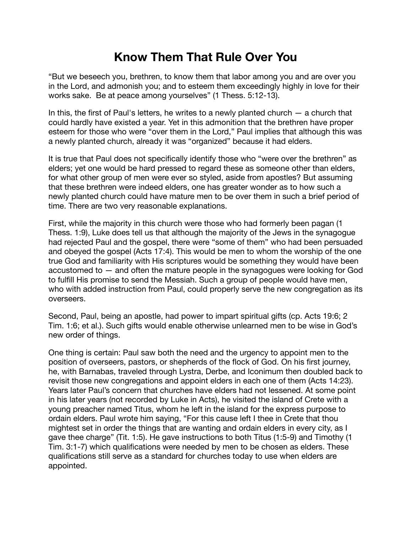## **Know Them That Rule Over You**

"But we beseech you, brethren, to know them that labor among you and are over you in the Lord, and admonish you; and to esteem them exceedingly highly in love for their works sake. Be at peace among yourselves" (1 Thess. 5:12-13).

In this, the first of Paul's letters, he writes to a newly planted church — a church that could hardly have existed a year. Yet in this admonition that the brethren have proper esteem for those who were "over them in the Lord," Paul implies that although this was a newly planted church, already it was "organized" because it had elders.

It is true that Paul does not specifically identify those who "were over the brethren" as elders; yet one would be hard pressed to regard these as someone other than elders, for what other group of men were ever so styled, aside from apostles? But assuming that these brethren were indeed elders, one has greater wonder as to how such a newly planted church could have mature men to be over them in such a brief period of time. There are two very reasonable explanations.

First, while the majority in this church were those who had formerly been pagan (1 Thess. 1:9), Luke does tell us that although the majority of the Jews in the synagogue had rejected Paul and the gospel, there were "some of them" who had been persuaded and obeyed the gospel (Acts 17:4). This would be men to whom the worship of the one true God and familiarity with His scriptures would be something they would have been accustomed to — and often the mature people in the synagogues were looking for God to fulfill His promise to send the Messiah. Such a group of people would have men, who with added instruction from Paul, could properly serve the new congregation as its overseers.

Second, Paul, being an apostle, had power to impart spiritual gifts (cp. Acts 19:6; 2 Tim. 1:6; et al.). Such gifts would enable otherwise unlearned men to be wise in God's new order of things.

One thing is certain: Paul saw both the need and the urgency to appoint men to the position of overseers, pastors, or shepherds of the flock of God. On his first journey, he, with Barnabas, traveled through Lystra, Derbe, and Iconimum then doubled back to revisit those new congregations and appoint elders in each one of them (Acts 14:23). Years later Paul's concern that churches have elders had not lessened. At some point in his later years (not recorded by Luke in Acts), he visited the island of Crete with a young preacher named Titus, whom he left in the island for the express purpose to ordain elders. Paul wrote him saying, "For this cause left I thee in Crete that thou mightest set in order the things that are wanting and ordain elders in every city, as I gave thee charge" (Tit. 1:5). He gave instructions to both Titus (1:5-9) and Timothy (1 Tim. 3:1-7) which qualifications were needed by men to be chosen as elders. These qualifications still serve as a standard for churches today to use when elders are appointed.